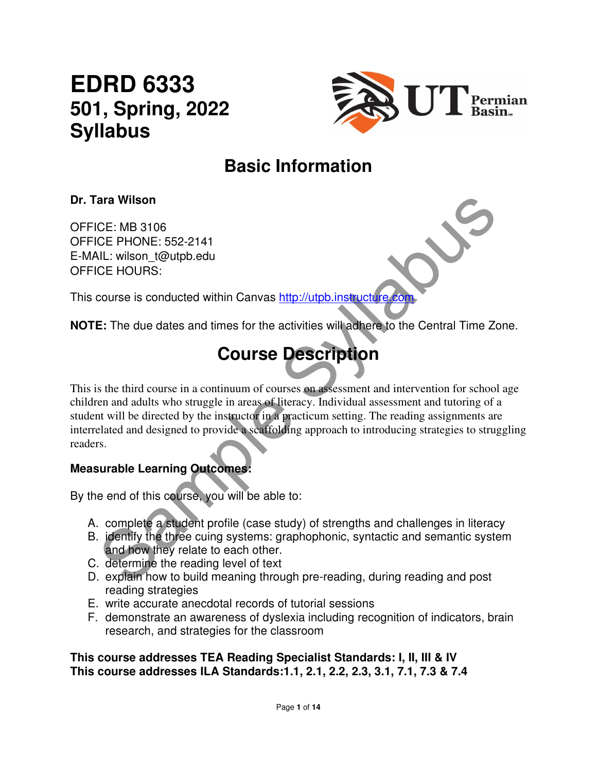# **EDRD 6333 501, Spring, 2022 Syllabus**



# **Basic Information**

### **Dr. Tara Wilson**

OFFICE: MB 3106 OFFICE PHONE: 552-2141 E-MAIL: wilson\_t@utpb.edu OFFICE HOURS:

This course is conducted within Canvas http://utpb.instructure.com

**NOTE:** The due dates and times for the activities will adhere to the Central Time Zone.

# **Course Description**

ara Wilson<br>
CE: MB 3106<br>
CE: MB 3106<br>
CE: MB 3106<br>
CE: MB 3106<br>
CE: MB 3106<br>
CE: HOURS:<br>
course is conducted within Canvas http://utpb.instructure.com<br>
COUTSE DESCription<br>
Secure Syllabuse in a continuum of courses on asse This is the third course in a continuum of courses on assessment and intervention for school age children and adults who struggle in areas of literacy. Individual assessment and tutoring of a student will be directed by the instructor in a practicum setting. The reading assignments are interrelated and designed to provide a scaffolding approach to introducing strategies to struggling readers.

### **Measurable Learning Outcomes:**

By the end of this course, you will be able to:

- A. complete a student profile (case study) of strengths and challenges in literacy
- B. identify the three cuing systems: graphophonic, syntactic and semantic system and how they relate to each other.
- C. determine the reading level of text
- D. explain how to build meaning through pre-reading, during reading and post reading strategies
- E. write accurate anecdotal records of tutorial sessions
- F. demonstrate an awareness of dyslexia including recognition of indicators, brain research, and strategies for the classroom

#### **This course addresses TEA Reading Specialist Standards: I, II, III & IV This course addresses ILA Standards:1.1, 2.1, 2.2, 2.3, 3.1, 7.1, 7.3 & 7.4**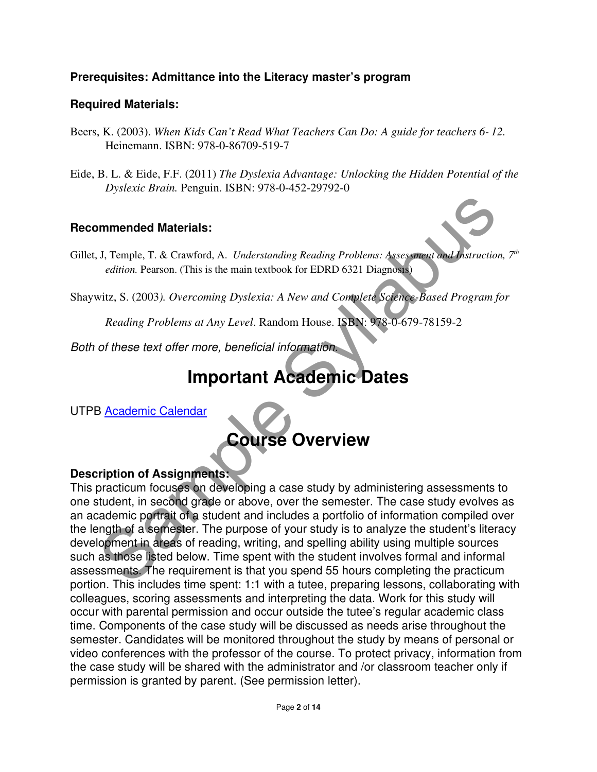### **Prerequisites: Admittance into the Literacy master's program**

#### **Required Materials:**

- Beers, K. (2003). *When Kids Can't Read What Teachers Can Do: A guide for teachers 6- 12.* Heinemann. ISBN: 978-0-86709-519-7
- Eide, B. L. & Eide, F.F. (2011) *The Dyslexia Advantage: Unlocking the Hidden Potential of the Dyslexic Brain.* Penguin. ISBN: 978-0-452-29792-0

#### **Recommended Materials:**

Gillet, J, Temple, T. & Crawford, A. *Understanding Reading Problems: Assessment and Instruction, 7<sup>th</sup> edition.* Pearson. (This is the main textbook for EDRD 6321 Diagnosis)

Shaywitz, S. (2003*). Overcoming Dyslexia: A New and Complete Science-Based Program for* 

*Reading Problems at Any Level*. Random House. ISBN: 978-0-679-78159-2

Both of these text offer more, beneficial information.

# **Important Academic Dates**

UTPB Academic Calendar

# **Course Overview**

### **Description of Assignments:**

**Solution Syllabuset Syllabuset Syllabuset Syllabuset Syllabuset Syllabuset Syllabuset Syllabuset Syllabuset Syllabuset Syllabuset Syllabuset Syllabuset Syllabuset Syllabuset Syllabuset Syllabuset Syllabuset Syllabuset Syl** This practicum focuses on developing a case study by administering assessments to one student, in second grade or above, over the semester. The case study evolves as an academic portrait of a student and includes a portfolio of information compiled over the length of a semester. The purpose of your study is to analyze the student's literacy development in areas of reading, writing, and spelling ability using multiple sources such as those listed below. Time spent with the student involves formal and informal assessments. The requirement is that you spend 55 hours completing the practicum portion. This includes time spent: 1:1 with a tutee, preparing lessons, collaborating with colleagues, scoring assessments and interpreting the data. Work for this study will occur with parental permission and occur outside the tutee's regular academic class time. Components of the case study will be discussed as needs arise throughout the semester. Candidates will be monitored throughout the study by means of personal or video conferences with the professor of the course. To protect privacy, information from the case study will be shared with the administrator and /or classroom teacher only if permission is granted by parent. (See permission letter).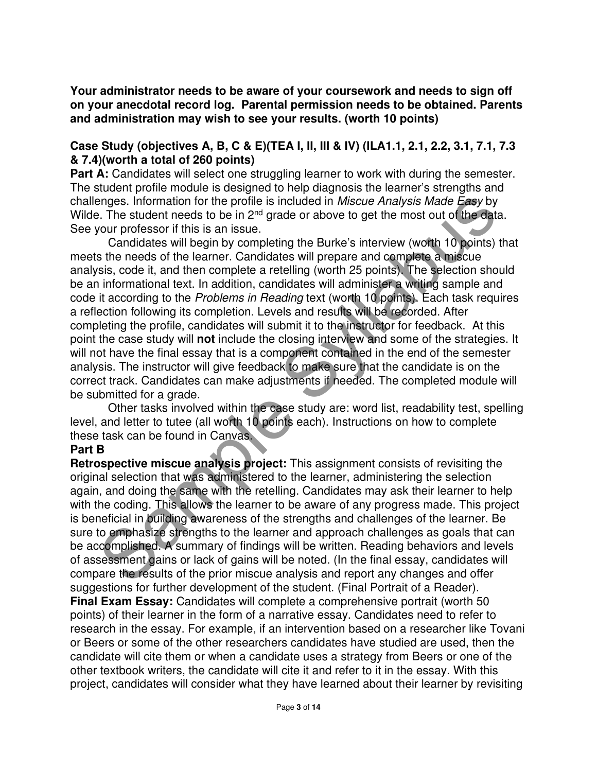**Your administrator needs to be aware of your coursework and needs to sign off on your anecdotal record log. Parental permission needs to be obtained. Parents and administration may wish to see your results. (worth 10 points)** 

#### **Case Study (objectives A, B, C & E)(TEA I, II, III & IV) (ILA1.1, 2.1, 2.2, 3.1, 7.1, 7.3 & 7.4)(worth a total of 260 points)**

**Part A:** Candidates will select one struggling learner to work with during the semester. The student profile module is designed to help diagnosis the learner's strengths and challenges. Information for the profile is included in Miscue Analysis Made Easy by Wilde. The student needs to be in 2<sup>nd</sup> grade or above to get the most out of the data. See your professor if this is an issue.

enges. Information for the profile is included in *Miscue Analysis Made Easy* by<br>
a. The student needs to be in 2<sup>24</sup> grade or above to get the most out of the data.<br>
Corur professor if this is an issue.<br>
Corur professor i Candidates will begin by completing the Burke's interview (worth 10 points) that meets the needs of the learner. Candidates will prepare and complete a miscue analysis, code it, and then complete a retelling (worth 25 points). The selection should be an informational text. In addition, candidates will administer a writing sample and code it according to the Problems in Reading text (worth 10 points). Each task requires a reflection following its completion. Levels and results will be recorded. After completing the profile, candidates will submit it to the instructor for feedback. At this point the case study will **not** include the closing interview and some of the strategies. It will not have the final essay that is a component contained in the end of the semester analysis. The instructor will give feedback to make sure that the candidate is on the correct track. Candidates can make adjustments if needed. The completed module will be submitted for a grade.

 Other tasks involved within the case study are: word list, readability test, spelling level, and letter to tutee (all worth 10 points each). Instructions on how to complete these task can be found in Canvas.

#### **Part B**

**Retrospective miscue analysis project:** This assignment consists of revisiting the original selection that was administered to the learner, administering the selection again, and doing the same with the retelling. Candidates may ask their learner to help with the coding. This allows the learner to be aware of any progress made. This project is beneficial in building awareness of the strengths and challenges of the learner. Be sure to emphasize strengths to the learner and approach challenges as goals that can be accomplished. A summary of findings will be written. Reading behaviors and levels of assessment gains or lack of gains will be noted. (In the final essay, candidates will compare the results of the prior miscue analysis and report any changes and offer suggestions for further development of the student. (Final Portrait of a Reader). **Final Exam Essay:** Candidates will complete a comprehensive portrait (worth 50 points) of their learner in the form of a narrative essay. Candidates need to refer to research in the essay. For example, if an intervention based on a researcher like Tovani or Beers or some of the other researchers candidates have studied are used, then the candidate will cite them or when a candidate uses a strategy from Beers or one of the other textbook writers, the candidate will cite it and refer to it in the essay. With this project, candidates will consider what they have learned about their learner by revisiting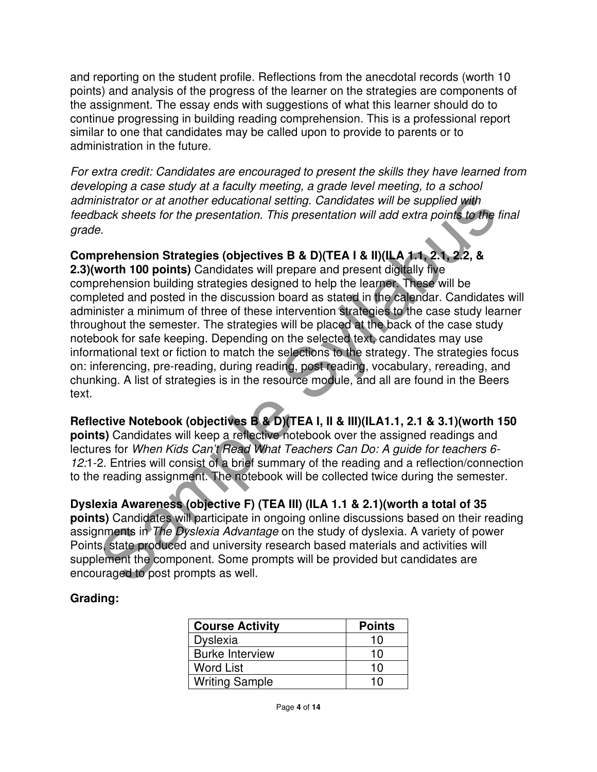and reporting on the student profile. Reflections from the anecdotal records (worth 10 points) and analysis of the progress of the learner on the strategies are components of the assignment. The essay ends with suggestions of what this learner should do to continue progressing in building reading comprehension. This is a professional report similar to one that candidates may be called upon to provide to parents or to administration in the future.

For extra credit: Candidates are encouraged to present the skills they have learned from developing a case study at a faculty meeting, a grade level meeting, to a school administrator or at another educational setting. Candidates will be supplied with feedback sheets for the presentation. This presentation will add extra points to the final grade.

### **Comprehension Strategies (objectives B & D)(TEA I & II)(ILA 1.1, 2.1, 2.2, &**

mistrator or at another educational setting. Candidates will be supplied with<br>pack sheets for the presentation. This presentation will add extra points to the fin<br>e.<br>9.<br>Prehension Strategies (objectives B & D)(TEA I & II)( **2.3)(worth 100 points)** Candidates will prepare and present digitally five comprehension building strategies designed to help the learner. These will be completed and posted in the discussion board as stated in the calendar. Candidates will administer a minimum of three of these intervention strategies to the case study learner throughout the semester. The strategies will be placed at the back of the case study notebook for safe keeping. Depending on the selected text, candidates may use informational text or fiction to match the selections to the strategy. The strategies focus on: inferencing, pre-reading, during reading, post reading, vocabulary, rereading, and chunking. A list of strategies is in the resource module, and all are found in the Beers text.

**Reflective Notebook (objectives B & D)(TEA I, II & III)(ILA1.1, 2.1 & 3.1)(worth 150 points)** Candidates will keep a reflective notebook over the assigned readings and lectures for When Kids Can't Read What Teachers Can Do: A guide for teachers 6- 12:1-2. Entries will consist of a brief summary of the reading and a reflection/connection to the reading assignment. The notebook will be collected twice during the semester.

#### **Dyslexia Awareness (objective F) (TEA III) (ILA 1.1 & 2.1)(worth a total of 35**

**points)** Candidates will participate in ongoing online discussions based on their reading assignments in The Dyslexia Advantage on the study of dyslexia. A variety of power Points, state produced and university research based materials and activities will supplement the component. Some prompts will be provided but candidates are encouraged to post prompts as well.

#### **Grading:**

| <b>Course Activity</b> | <b>Points</b> |
|------------------------|---------------|
| <b>Dyslexia</b>        | 10            |
| <b>Burke Interview</b> | 10            |
| Word List              | 10            |
| <b>Writing Sample</b>  | 1 ႐           |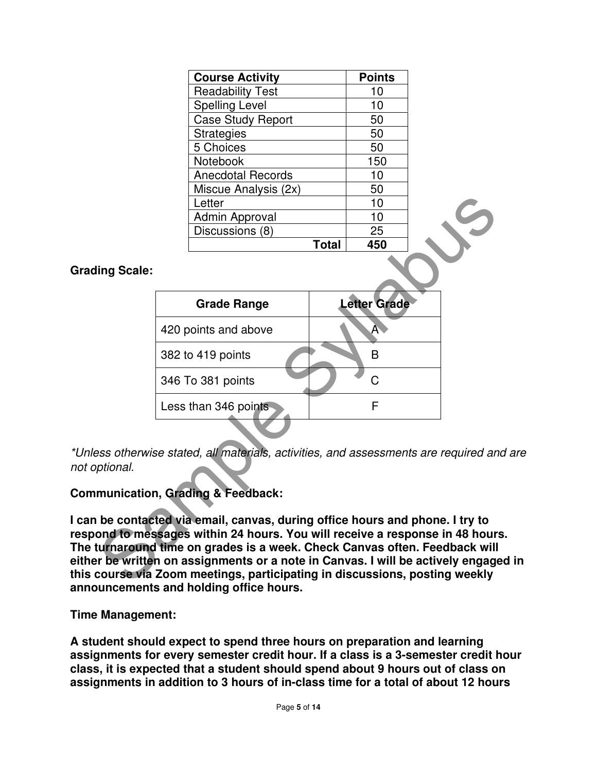| <b>Course Activity</b>   | <b>Points</b> |  |
|--------------------------|---------------|--|
| <b>Readability Test</b>  | 10            |  |
| <b>Spelling Level</b>    | 10            |  |
| <b>Case Study Report</b> | 50            |  |
| <b>Strategies</b>        | 50            |  |
| 5 Choices                | 50            |  |
| <b>Notebook</b>          | 150           |  |
| <b>Anecdotal Records</b> | 10            |  |
| Miscue Analysis (2x)     | 50            |  |
| Letter                   | 10            |  |
| Admin Approval           | 10            |  |
| Discussions (8)          | 25            |  |
| Total                    | 450           |  |

#### **Grading Scale:**

|                                                                                                                                                                                                                                                                                                                                                                                         | Letter                                                                                                               |              | 10                  |  |
|-----------------------------------------------------------------------------------------------------------------------------------------------------------------------------------------------------------------------------------------------------------------------------------------------------------------------------------------------------------------------------------------|----------------------------------------------------------------------------------------------------------------------|--------------|---------------------|--|
|                                                                                                                                                                                                                                                                                                                                                                                         | Admin Approval                                                                                                       |              | 10                  |  |
|                                                                                                                                                                                                                                                                                                                                                                                         | Discussions (8)                                                                                                      |              | 25                  |  |
|                                                                                                                                                                                                                                                                                                                                                                                         |                                                                                                                      | <b>Total</b> | 450                 |  |
| ing Scale:                                                                                                                                                                                                                                                                                                                                                                              |                                                                                                                      |              |                     |  |
|                                                                                                                                                                                                                                                                                                                                                                                         | <b>Grade Range</b>                                                                                                   |              | <b>Letter Grade</b> |  |
|                                                                                                                                                                                                                                                                                                                                                                                         | 420 points and above                                                                                                 |              | A                   |  |
|                                                                                                                                                                                                                                                                                                                                                                                         | 382 to 419 points                                                                                                    |              | B                   |  |
|                                                                                                                                                                                                                                                                                                                                                                                         | 346 To 381 points                                                                                                    |              | C                   |  |
|                                                                                                                                                                                                                                                                                                                                                                                         | Less than 346 points                                                                                                 |              | F                   |  |
| ptional.                                                                                                                                                                                                                                                                                                                                                                                | ess otherwise stated, all materials, activities, and assessments are required and<br>munication, Grading & Feedback: |              |                     |  |
| be contacted via email, canvas, during office hours and phone. I try to<br>ond to messages within 24 hours. You will receive a response in 48 hours.<br>turnaround time on grades is a week. Check Canvas often. Feedback will<br>r be written on assignments or a note in Canvas. I will be actively engaged<br>course via Zoom meetings, participating in discussions, posting weekly |                                                                                                                      |              |                     |  |

\*Unless otherwise stated, all materials, activities, and assessments are required and are not optional.

### **Communication, Grading & Feedback:**

**I can be contacted via email, canvas, during office hours and phone. I try to respond to messages within 24 hours. You will receive a response in 48 hours. The turnaround time on grades is a week. Check Canvas often. Feedback will either be written on assignments or a note in Canvas. I will be actively engaged in this course via Zoom meetings, participating in discussions, posting weekly announcements and holding office hours.** 

**Time Management:** 

**A student should expect to spend three hours on preparation and learning assignments for every semester credit hour. If a class is a 3-semester credit hour class, it is expected that a student should spend about 9 hours out of class on assignments in addition to 3 hours of in-class time for a total of about 12 hours**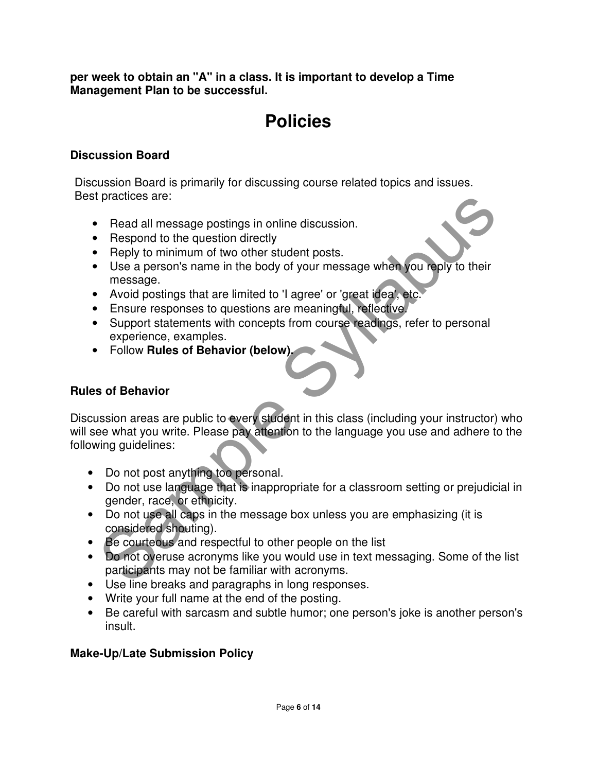**per week to obtain an "A" in a class. It is important to develop a Time Management Plan to be successful.**

# **Policies**

#### **Discussion Board**

Discussion Board is primarily for discussing course related topics and issues. Best practices are:

- Read all message postings in online discussion.
- Respond to the question directly
- Reply to minimum of two other student posts.
- Use a person's name in the body of your message when you reply to their message.
- Avoid postings that are limited to 'I agree' or 'great idea', etc.
- Ensure responses to questions are meaningful, reflective.
- Support statements with concepts from course readings, refer to personal experience, examples.
- Follow **Rules of Behavior (below).**

### **Rules of Behavior**

paradicular message postings in online discussion.<br>
Respond to the question directly<br>
Respond to the question directly<br>
Reply to minimum of two other student posts.<br>
Use a person's name in the body of your message when you Discussion areas are public to every student in this class (including your instructor) who will see what you write. Please pay attention to the language you use and adhere to the following guidelines:

- Do not post anything too personal.
- Do not use language that is inappropriate for a classroom setting or prejudicial in gender, race, or ethnicity.
- Do not use all caps in the message box unless you are emphasizing (it is considered shouting).
- Be courteous and respectful to other people on the list
- Do not overuse acronyms like you would use in text messaging. Some of the list participants may not be familiar with acronyms.
- Use line breaks and paragraphs in long responses.
- Write your full name at the end of the posting.
- Be careful with sarcasm and subtle humor; one person's joke is another person's insult.

### **Make-Up/Late Submission Policy**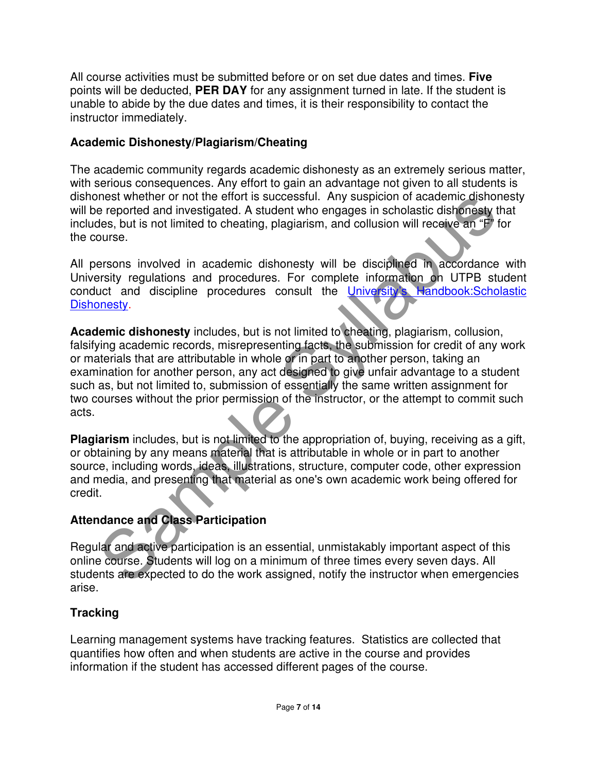All course activities must be submitted before or on set due dates and times. **Five** points will be deducted, **PER DAY** for any assignment turned in late. If the student is unable to abide by the due dates and times, it is their responsibility to contact the instructor immediately.

### **Academic Dishonesty/Plagiarism/Cheating**

The academic community regards academic dishonesty as an extremely serious matter, with serious consequences. Any effort to gain an advantage not given to all students is dishonest whether or not the effort is successful. Any suspicion of academic dishonesty will be reported and investigated. A student who engages in scholastic dishonesty that includes, but is not limited to cheating, plagiarism, and collusion will receive an "F" for the course.

All persons involved in academic dishonesty will be disciplined in accordance with University regulations and procedures. For complete information on UTPB student conduct and discipline procedures consult the University's Handbook:Scholastic Dishonesty.

meat whether or not the ellort is successibil. Any suspicion of academic dishonest<br>the eponted and investigated. A student who engages in scholastic dishonsely that<br>des, but is not limited to cheating, plagiarism, and coll **Academic dishonesty** includes, but is not limited to cheating, plagiarism, collusion, falsifying academic records, misrepresenting facts, the submission for credit of any work or materials that are attributable in whole or in part to another person, taking an examination for another person, any act designed to give unfair advantage to a student such as, but not limited to, submission of essentially the same written assignment for two courses without the prior permission of the instructor, or the attempt to commit such acts.

**Plagiarism** includes, but is not limited to the appropriation of, buying, receiving as a gift, or obtaining by any means material that is attributable in whole or in part to another source, including words, ideas, illustrations, structure, computer code, other expression and media, and presenting that material as one's own academic work being offered for credit.

# **Attendance and Class Participation**

Regular and active participation is an essential, unmistakably important aspect of this online course. Students will log on a minimum of three times every seven days. All students are expected to do the work assigned, notify the instructor when emergencies arise.

# **Tracking**

Learning management systems have tracking features. Statistics are collected that quantifies how often and when students are active in the course and provides information if the student has accessed different pages of the course.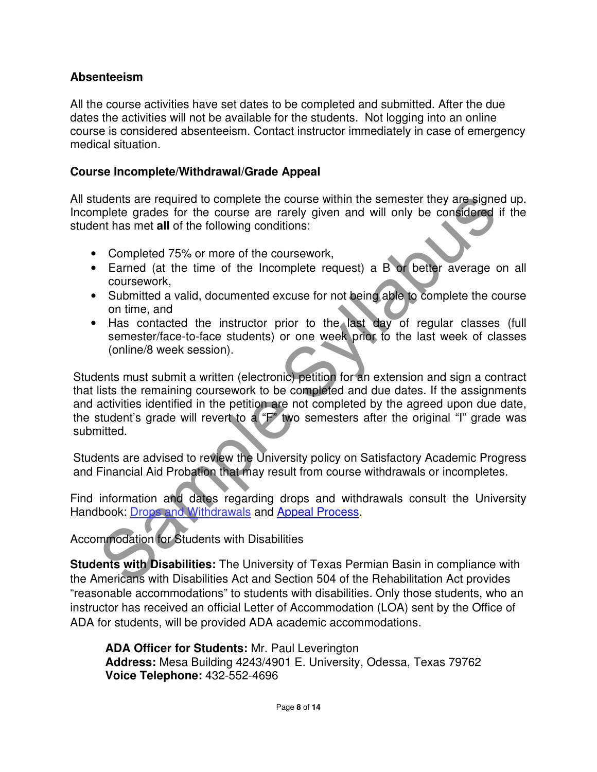#### **Absenteeism**

All the course activities have set dates to be completed and submitted. After the due dates the activities will not be available for the students. Not logging into an online course is considered absenteeism. Contact instructor immediately in case of emergency medical situation.

#### **Course Incomplete/Withdrawal/Grade Appeal**

All students are required to complete the course within the semester they are signed up. Incomplete grades for the course are rarely given and will only be considered if the student has met **all** of the following conditions:

- Completed 75% or more of the coursework,
- Earned (at the time of the Incomplete request) a B or better average on all coursework,
- Submitted a valid, documented excuse for not being able to complete the course on time, and
- Has contacted the instructor prior to the last day of regular classes (full semester/face-to-face students) or one week prior to the last week of classes (online/8 week session).

udents are required to complete the course are relative that in the semester they are signed<br>upplete grades for the course are rarely given and will only be considered if<br>the has met all of the following conditions:<br>
Compl Students must submit a written (electronic) petition for an extension and sign a contract that lists the remaining coursework to be completed and due dates. If the assignments and activities identified in the petition are not completed by the agreed upon due date, the student's grade will revert to a "F" two semesters after the original "I" grade was submitted.

Students are advised to review the University policy on Satisfactory Academic Progress and Financial Aid Probation that may result from course withdrawals or incompletes.

Find information and dates regarding drops and withdrawals consult the University Handbook: Drops and Withdrawals and Appeal Process.

Accommodation for Students with Disabilities

**Students with Disabilities:** The University of Texas Permian Basin in compliance with the Americans with Disabilities Act and Section 504 of the Rehabilitation Act provides "reasonable accommodations" to students with disabilities. Only those students, who an instructor has received an official Letter of Accommodation (LOA) sent by the Office of ADA for students, will be provided ADA academic accommodations.

**ADA Officer for Students:** Mr. Paul Leverington **Address:** Mesa Building 4243/4901 E. University, Odessa, Texas 79762 **Voice Telephone:** 432-552-4696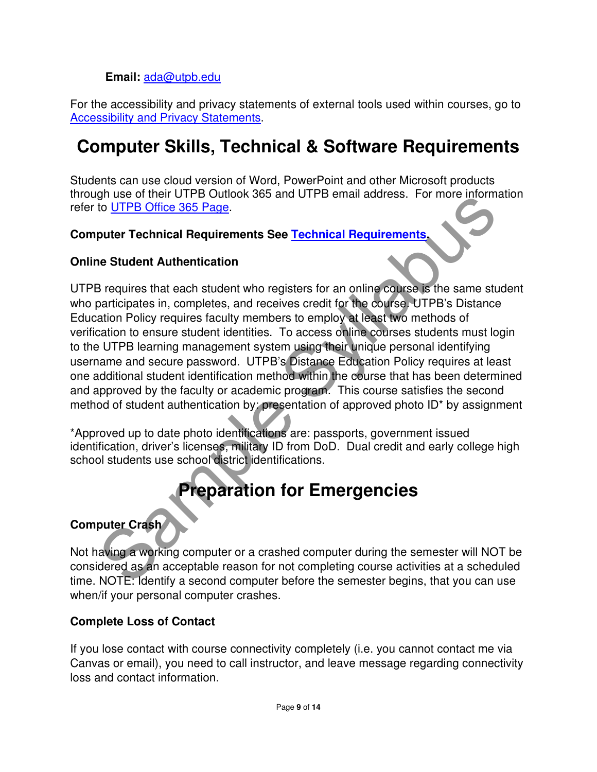### **Email:** ada@utpb.edu

For the accessibility and privacy statements of external tools used within courses, go to Accessibility and Privacy Statements.

# **Computer Skills, Technical & Software Requirements**

Students can use cloud version of Word, PowerPoint and other Microsoft products through use of their UTPB Outlook 365 and UTPB email address. For more information refer to **UTPB Office 365 Page**.

### **Computer Technical Requirements See Technical Requirements.**

### **Online Student Authentication**

In use of fireformation of propriation of approach and a schedule propriation in the UTFB Office 365 Page.<br>
puter Technical Requirements See <u>Technical Requirements</u><br>
be Student Authentication<br>
are student durination to re UTPB requires that each student who registers for an online course is the same student who participates in, completes, and receives credit for the course. UTPB's Distance Education Policy requires faculty members to employ at least two methods of verification to ensure student identities. To access online courses students must login to the UTPB learning management system using their unique personal identifying username and secure password. UTPB's Distance Education Policy requires at least one additional student identification method within the course that has been determined and approved by the faculty or academic program. This course satisfies the second method of student authentication by: presentation of approved photo ID\* by assignment

\*Approved up to date photo identifications are: passports, government issued identification, driver's licenses, military ID from DoD. Dual credit and early college high school students use school district identifications.

# **Preparation for Emergencies**

### **Computer Crash**

Not having a working computer or a crashed computer during the semester will NOT be considered as an acceptable reason for not completing course activities at a scheduled time. NOTE: Identify a second computer before the semester begins, that you can use when/if your personal computer crashes.

### **Complete Loss of Contact**

If you lose contact with course connectivity completely (i.e. you cannot contact me via Canvas or email), you need to call instructor, and leave message regarding connectivity loss and contact information.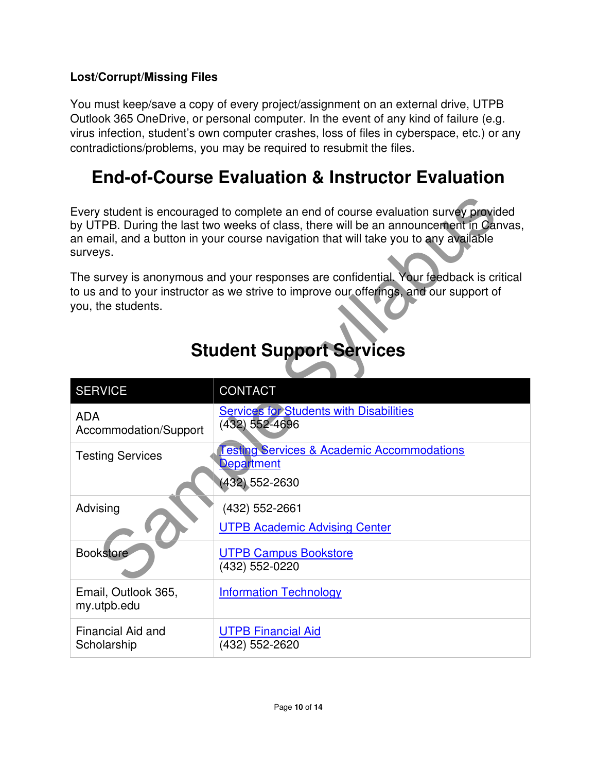### **Lost/Corrupt/Missing Files**

You must keep/save a copy of every project/assignment on an external drive, UTPB Outlook 365 OneDrive, or personal computer. In the event of any kind of failure (e.g. virus infection, student's own computer crashes, loss of files in cyberspace, etc.) or any contradictions/problems, you may be required to resubmit the files.

# **End-of-Course Evaluation & Instructor Evaluation**

| Every student is encouraged to complete an end of course evaluation survey provided<br>by UTPB. During the last two weeks of class, there will be an announcement in Canvas,<br>an email, and a button in your course navigation that will take you to any available<br>surveys. |                                                                                              |  |  |
|----------------------------------------------------------------------------------------------------------------------------------------------------------------------------------------------------------------------------------------------------------------------------------|----------------------------------------------------------------------------------------------|--|--|
| The survey is anonymous and your responses are confidential. Your feedback is critical<br>to us and to your instructor as we strive to improve our offerings, and our support of<br>you, the students.                                                                           |                                                                                              |  |  |
|                                                                                                                                                                                                                                                                                  | <b>Student Support Services</b>                                                              |  |  |
| <b>SERVICE</b>                                                                                                                                                                                                                                                                   | <b>CONTACT</b>                                                                               |  |  |
| <b>ADA</b><br>Accommodation/Support                                                                                                                                                                                                                                              | <b>Services for Students with Disabilities</b><br>$(432) 552 - 4696$                         |  |  |
| <b>Testing Services</b>                                                                                                                                                                                                                                                          | <b>Testing Services &amp; Academic Accommodations</b><br><b>Department</b><br>(432) 552-2630 |  |  |
| Advising                                                                                                                                                                                                                                                                         | (432) 552-2661<br><b>UTPB Academic Advising Center</b>                                       |  |  |
| <b>Bookstore</b>                                                                                                                                                                                                                                                                 | <b>UTPB Campus Bookstore</b><br>(432) 552-0220                                               |  |  |
| Email, Outlook 365,<br>my.utpb.edu                                                                                                                                                                                                                                               | <b>Information Technology</b>                                                                |  |  |
| Financial Aid and<br>Scholarship                                                                                                                                                                                                                                                 | <b>UTPB Financial Aid</b><br>(432) 552-2620                                                  |  |  |

# **Student Support Services**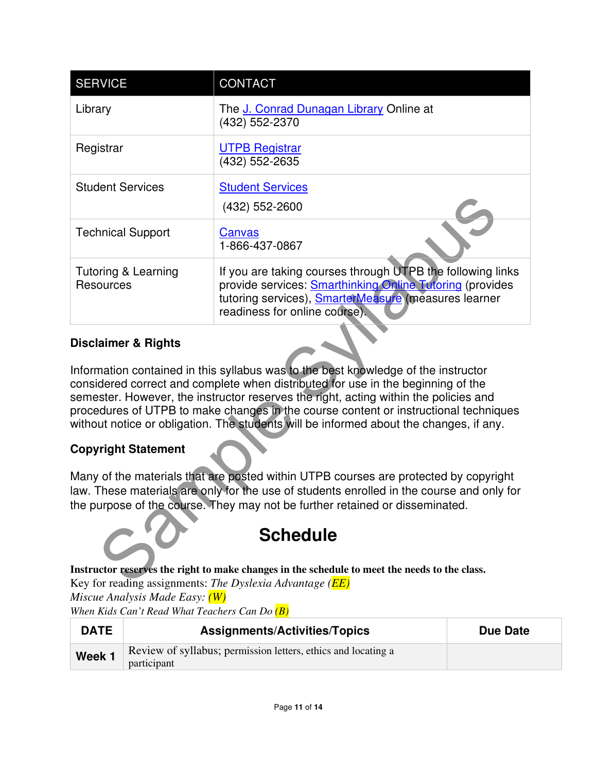| The J. Conrad Dunagan Library Online at<br>Library<br>(432) 552-2370<br><b>UTPB Registrar</b><br>Registrar<br>(432) 552-2635<br><b>Student Services</b><br><b>Student Services</b><br>(432) 552-2600<br><b>Technical Support</b><br>Canvas<br>1-866-437-0867<br>If you are taking courses through UTPB the following links<br><b>Tutoring &amp; Learning</b><br>provide services: <b>Smarthinking Online Tutoring</b> (provides<br><b>Resources</b><br>tutoring services), SmarterMeasure (measures learner<br>readiness for online course).<br><b>Disclaimer &amp; Rights</b><br>Information contained in this syllabus was to the best knowledge of the instructor<br>considered correct and complete when distributed for use in the beginning of the<br>semester. However, the instructor reserves the right, acting within the policies and<br>procedures of UTPB to make changes in the course content or instructional techniques<br>without notice or obligation. The students will be informed about the changes, if any.<br><b>Copyright Statement</b><br>Many of the materials that are posted within UTPB courses are protected by copyright<br>law. These materials are only for the use of students enrolled in the course and only for<br>the purpose of the course. They may not be further retained or disseminated. | <b>SERVICE</b> | <b>CONTACT</b> |  |  |
|---------------------------------------------------------------------------------------------------------------------------------------------------------------------------------------------------------------------------------------------------------------------------------------------------------------------------------------------------------------------------------------------------------------------------------------------------------------------------------------------------------------------------------------------------------------------------------------------------------------------------------------------------------------------------------------------------------------------------------------------------------------------------------------------------------------------------------------------------------------------------------------------------------------------------------------------------------------------------------------------------------------------------------------------------------------------------------------------------------------------------------------------------------------------------------------------------------------------------------------------------------------------------------------------------------------------------------------|----------------|----------------|--|--|
|                                                                                                                                                                                                                                                                                                                                                                                                                                                                                                                                                                                                                                                                                                                                                                                                                                                                                                                                                                                                                                                                                                                                                                                                                                                                                                                                       |                |                |  |  |
|                                                                                                                                                                                                                                                                                                                                                                                                                                                                                                                                                                                                                                                                                                                                                                                                                                                                                                                                                                                                                                                                                                                                                                                                                                                                                                                                       |                |                |  |  |
|                                                                                                                                                                                                                                                                                                                                                                                                                                                                                                                                                                                                                                                                                                                                                                                                                                                                                                                                                                                                                                                                                                                                                                                                                                                                                                                                       |                |                |  |  |
|                                                                                                                                                                                                                                                                                                                                                                                                                                                                                                                                                                                                                                                                                                                                                                                                                                                                                                                                                                                                                                                                                                                                                                                                                                                                                                                                       |                |                |  |  |
|                                                                                                                                                                                                                                                                                                                                                                                                                                                                                                                                                                                                                                                                                                                                                                                                                                                                                                                                                                                                                                                                                                                                                                                                                                                                                                                                       |                |                |  |  |
|                                                                                                                                                                                                                                                                                                                                                                                                                                                                                                                                                                                                                                                                                                                                                                                                                                                                                                                                                                                                                                                                                                                                                                                                                                                                                                                                       |                |                |  |  |
|                                                                                                                                                                                                                                                                                                                                                                                                                                                                                                                                                                                                                                                                                                                                                                                                                                                                                                                                                                                                                                                                                                                                                                                                                                                                                                                                       |                |                |  |  |
|                                                                                                                                                                                                                                                                                                                                                                                                                                                                                                                                                                                                                                                                                                                                                                                                                                                                                                                                                                                                                                                                                                                                                                                                                                                                                                                                       |                |                |  |  |
|                                                                                                                                                                                                                                                                                                                                                                                                                                                                                                                                                                                                                                                                                                                                                                                                                                                                                                                                                                                                                                                                                                                                                                                                                                                                                                                                       |                |                |  |  |
| <b>Schedule</b>                                                                                                                                                                                                                                                                                                                                                                                                                                                                                                                                                                                                                                                                                                                                                                                                                                                                                                                                                                                                                                                                                                                                                                                                                                                                                                                       |                |                |  |  |
| Instructor reserves the right to make changes in the schedule to meet the needs to the class.<br>Key for reading assignments: The Dyslexia Advantage ( $\overline{EE}$ )                                                                                                                                                                                                                                                                                                                                                                                                                                                                                                                                                                                                                                                                                                                                                                                                                                                                                                                                                                                                                                                                                                                                                              |                |                |  |  |

### **Disclaimer & Rights**

# **Copyright Statement**



**Instructor reserves the right to make changes in the schedule to meet the needs to the class.**  Key for reading assignments: *The Dyslexia Advantage (EE)* 

*Miscue Analysis Made Easy: (W)* 

*When Kids Can't Read What Teachers Can Do (B)*

| <b>DATE</b> | <b>Assignments/Activities/Topics</b>                          | Due Date |
|-------------|---------------------------------------------------------------|----------|
| Week 1      | Review of syllabus; permission letters, ethics and locating a |          |
|             | participant                                                   |          |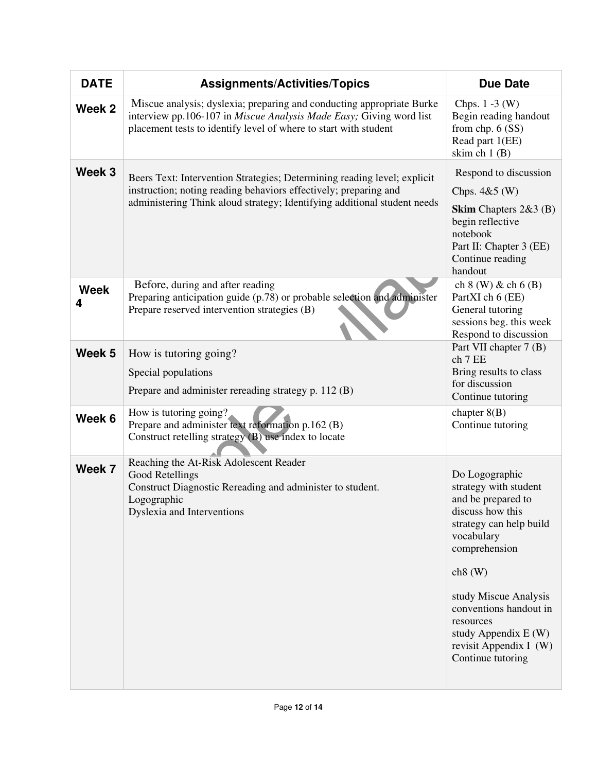| <b>DATE</b>      | <b>Assignments/Activities/Topics</b>                                                                                                                                                                                     | <b>Due Date</b>                                                                                                                                                                                                                                                                               |
|------------------|--------------------------------------------------------------------------------------------------------------------------------------------------------------------------------------------------------------------------|-----------------------------------------------------------------------------------------------------------------------------------------------------------------------------------------------------------------------------------------------------------------------------------------------|
| Week 2           | Miscue analysis; dyslexia; preparing and conducting appropriate Burke<br>interview pp.106-107 in Miscue Analysis Made Easy; Giving word list<br>placement tests to identify level of where to start with student         | Chps. $1 - 3$ (W)<br>Begin reading handout<br>from chp. 6 (SS)<br>Read part 1(EE)<br>skim ch $1(B)$                                                                                                                                                                                           |
| Week 3           | Beers Text: Intervention Strategies; Determining reading level; explicit<br>instruction; noting reading behaviors effectively; preparing and<br>administering Think aloud strategy; Identifying additional student needs | Respond to discussion<br>Chps. $4&5$ (W)<br>Skim Chapters 2&3 (B)<br>begin reflective<br>notebook<br>Part II: Chapter 3 (EE)<br>Continue reading<br>handout                                                                                                                                   |
| <b>Week</b><br>4 | Before, during and after reading<br>Preparing anticipation guide (p.78) or probable selection and administer<br>Prepare reserved intervention strategies (B)                                                             | ch $8$ (W) & ch $6$ (B)<br>PartXI ch 6 (EE)<br>General tutoring<br>sessions beg. this week<br>Respond to discussion                                                                                                                                                                           |
| Week 5           | How is tutoring going?<br>Special populations<br>Prepare and administer rereading strategy p. 112 (B)                                                                                                                    | Part VII chapter 7 (B)<br>ch 7 EE<br>Bring results to class<br>for discussion<br>Continue tutoring                                                                                                                                                                                            |
| Week 6           | How is tutoring going?<br>Prepare and administer text reformation p.162 (B)<br>Construct retelling strategy (B) use index to locate                                                                                      | chapter $8(B)$<br>Continue tutoring                                                                                                                                                                                                                                                           |
| Week 7           | Reaching the At-Risk Adolescent Reader<br>Good Retellings<br>Construct Diagnostic Rereading and administer to student.<br>Logographic<br>Dyslexia and Interventions                                                      | Do Logographic<br>strategy with student<br>and be prepared to<br>discuss how this<br>strategy can help build<br>vocabulary<br>comprehension<br>ch8(W)<br>study Miscue Analysis<br>conventions handout in<br>resources<br>study Appendix $E(W)$<br>revisit Appendix I (W)<br>Continue tutoring |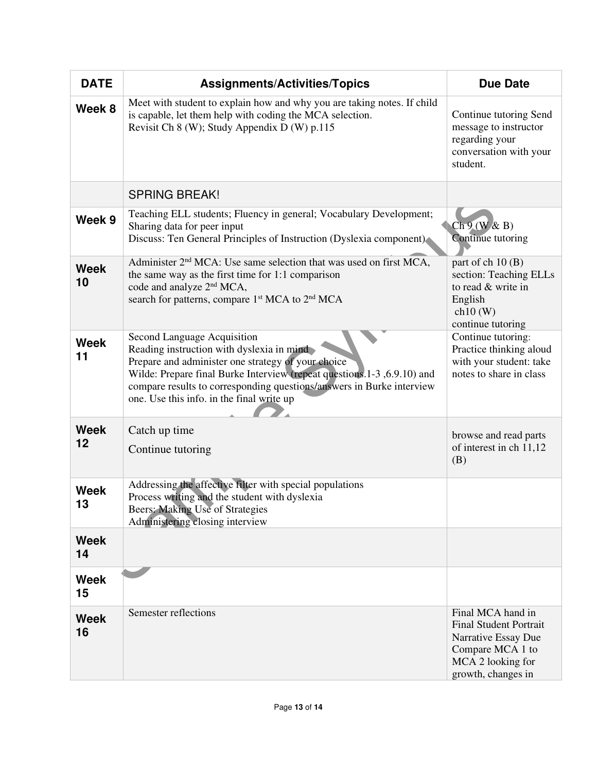| <b>DATE</b>       | <b>Assignments/Activities/Topics</b>                                                                                                                                                                                                                                                                                            | <b>Due Date</b>                                                                                                                          |
|-------------------|---------------------------------------------------------------------------------------------------------------------------------------------------------------------------------------------------------------------------------------------------------------------------------------------------------------------------------|------------------------------------------------------------------------------------------------------------------------------------------|
| Week 8            | Meet with student to explain how and why you are taking notes. If child<br>is capable, let them help with coding the MCA selection.<br>Revisit Ch 8 (W); Study Appendix D (W) p.115                                                                                                                                             | Continue tutoring Send<br>message to instructor<br>regarding your<br>conversation with your<br>student.                                  |
|                   | <b>SPRING BREAK!</b>                                                                                                                                                                                                                                                                                                            |                                                                                                                                          |
| Week 9            | Teaching ELL students; Fluency in general; Vocabulary Development;<br>Sharing data for peer input<br>Discuss: Ten General Principles of Instruction (Dyslexia component)                                                                                                                                                        | Ch9(W & B)<br>Continue tutoring                                                                                                          |
| <b>Week</b><br>10 | Administer 2 <sup>nd</sup> MCA: Use same selection that was used on first MCA,<br>the same way as the first time for $1:1$ comparison<br>code and analyze 2 <sup>nd</sup> MCA,<br>search for patterns, compare 1 <sup>st</sup> MCA to 2 <sup>nd</sup> MCA                                                                       | part of ch 10 (B)<br>section: Teaching ELLs<br>to read & write in<br>English<br>ch10(W)<br>continue tutoring                             |
| <b>Week</b><br>11 | Second Language Acquisition<br>Reading instruction with dyslexia in mind<br>Prepare and administer one strategy of your choice<br>Wilde: Prepare final Burke Interview (repeat questions.1-3, 6.9.10) and<br>compare results to corresponding questions/answers in Burke interview<br>one. Use this info. in the final write up | Continue tutoring:<br>Practice thinking aloud<br>with your student: take<br>notes to share in class                                      |
| <b>Week</b><br>12 | Catch up time<br>Continue tutoring                                                                                                                                                                                                                                                                                              | browse and read parts<br>of interest in ch 11,12<br>(B)                                                                                  |
| <b>Week</b><br>13 | Addressing the affective filter with special populations<br>Process writing and the student with dyslexia<br>Beers: Making Use of Strategies<br>Administering closing interview                                                                                                                                                 |                                                                                                                                          |
| <b>Week</b><br>14 |                                                                                                                                                                                                                                                                                                                                 |                                                                                                                                          |
| <b>Week</b><br>15 |                                                                                                                                                                                                                                                                                                                                 |                                                                                                                                          |
| <b>Week</b><br>16 | Semester reflections                                                                                                                                                                                                                                                                                                            | Final MCA hand in<br><b>Final Student Portrait</b><br>Narrative Essay Due<br>Compare MCA 1 to<br>MCA 2 looking for<br>growth, changes in |